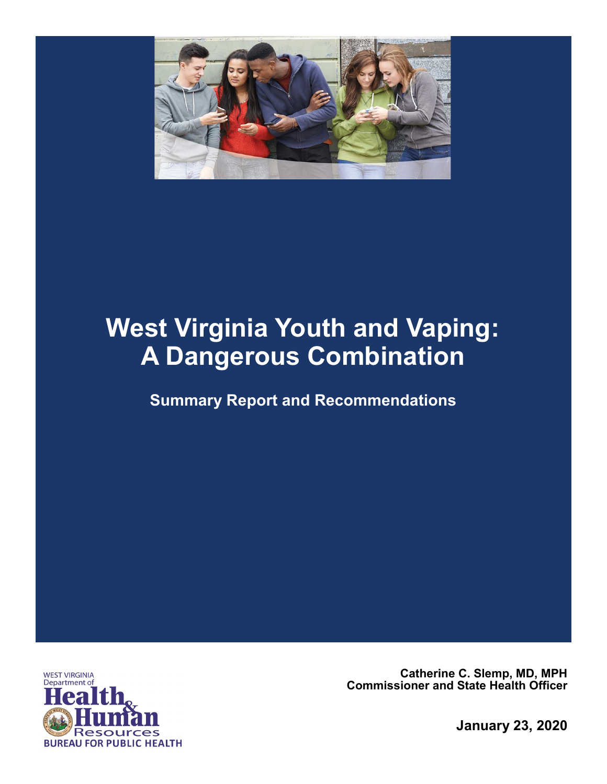

# **West Virginia Youth and Vaping: A Dangerous Combination**

**Summary Report and Recommendations**



**Catherine C. Slemp, MD, MPH Commissioner and State Health Officer**

**January 23, 2020**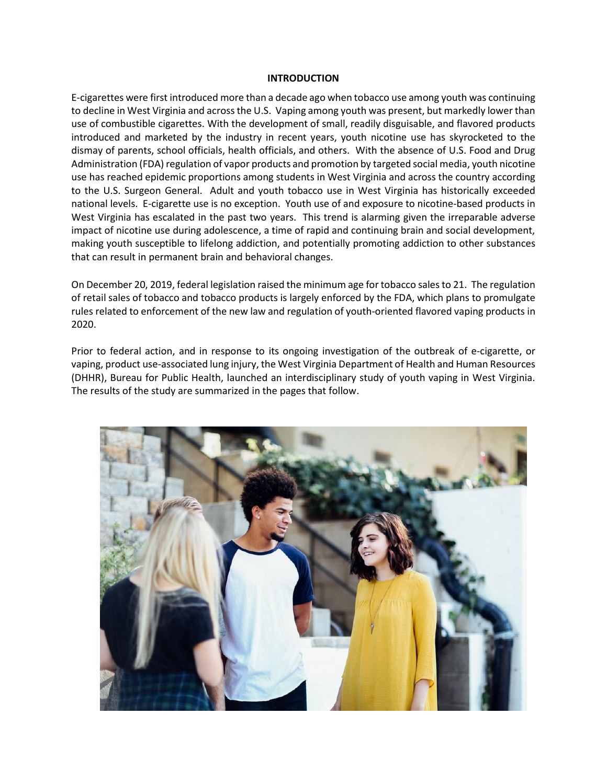#### **INTRODUCTION**

E-cigarettes were first introduced more than a decade ago when tobacco use among youth was continuing to decline in West Virginia and across the U.S. Vaping among youth was present, but markedly lower than use of combustible cigarettes. With the development of small, readily disguisable, and flavored products introduced and marketed by the industry in recent years, youth nicotine use has skyrocketed to the dismay of parents, school officials, health officials, and others. With the absence of U.S. Food and Drug Administration (FDA) regulation of vapor products and promotion by targeted social media, youth nicotine use has reached epidemic proportions among students in West Virginia and across the country according to the U.S. Surgeon General. Adult and youth tobacco use in West Virginia has historically exceeded national levels. E-cigarette use is no exception. Youth use of and exposure to nicotine-based products in West Virginia has escalated in the past two years. This trend is alarming given the irreparable adverse impact of nicotine use during adolescence, a time of rapid and continuing brain and social development, making youth susceptible to lifelong addiction, and potentially promoting addiction to other substances that can result in permanent brain and behavioral changes.

On December 20, 2019, federal legislation raised the minimum age for tobacco sales to 21. The regulation of retail sales of tobacco and tobacco products is largely enforced by the FDA, which plans to promulgate rules related to enforcement of the new law and regulation of youth-oriented flavored vaping products in 2020.

Prior to federal action, and in response to its ongoing investigation of the outbreak of e-cigarette, or vaping, product use-associated lung injury, the West Virginia Department of Health and Human Resources (DHHR), Bureau for Public Health, launched an interdisciplinary study of youth vaping in West Virginia. The results of the study are summarized in the pages that follow.

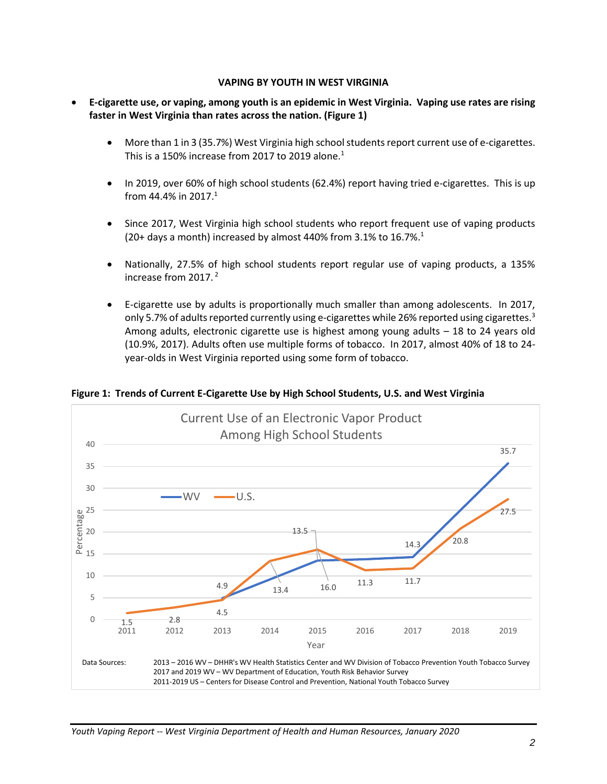#### **VAPING BY YOUTH IN WEST VIRGINIA**

- **E-cigarette use, or vaping, among youth is an epidemic in West Virginia. Vaping use rates are rising faster in West Virginia than rates across the nation. (Figure 1)**
	- More than 1 in 3 (35.7%) West Virginia high school students report current use of e-cigarettes. This is a 150% increase from 2017 to 2019 alone.<sup>1</sup>
	- In 2019, over 60% of high school students (62.4%) report having tried e-cigarettes. This is up from 44.4% in 2017.<sup>1</sup>
	- Since 2017, West Virginia high school students who report frequent use of vaping products (20+ days a month) increased by almost 440% from 3.1% to 16.7%.<sup>1</sup>
	- Nationally, 27.5% of high school students report regular use of vaping products, a 135% increase from 2017. <sup>2</sup>
	- E-cigarette use by adults is proportionally much smaller than among adolescents. In 2017, only 5.7% of adults reported currently using e-cigarettes while 26% reported using cigarettes.<sup>3</sup> Among adults, electronic cigarette use is highest among young adults – 18 to 24 years old (10.9%, 2017). Adults often use multiple forms of tobacco. In 2017, almost 40% of 18 to 24 year-olds in West Virginia reported using some form of tobacco.



**Figure 1: Trends of Current E-Cigarette Use by High School Students, U.S. and West Virginia**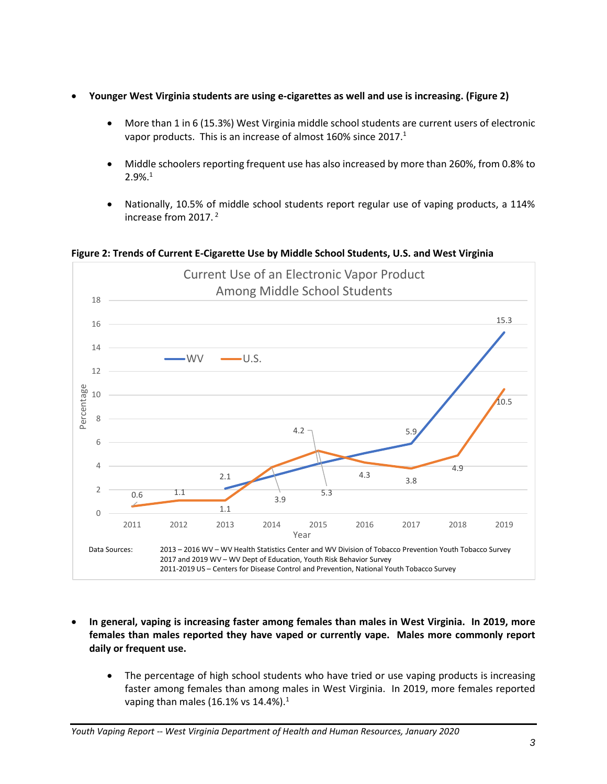- **Younger West Virginia students are using e-cigarettes as well and use is increasing. (Figure 2)**
	- More than 1 in 6 (15.3%) West Virginia middle school students are current users of electronic vapor products. This is an increase of almost 160% since 2017.<sup>1</sup>
	- Middle schoolers reporting frequent use has also increased by more than 260%, from 0.8% to 2.9%.<sup>1</sup>
	- Nationally, 10.5% of middle school students report regular use of vaping products, a 114% increase from 2017. <sup>2</sup>

2.1 4.2  $\bigcap$  5.9 15.3  $0.6$  1.1 1.1 3.9 5.3 4.3 3.8 4.9 10.5 0  $\overline{\phantom{a}}$ 4 6 8 10 12 14 16 18 2011 2012 2013 2014 2015 2016 2017 2018 2019 Percentage Year Current Use of an Electronic Vapor Product Among Middle School Students  $WV \longrightarrow U.S.$ Data Sources: 2013 – 2016 WV – WV Health Statistics Center and WV Division of Tobacco Prevention Youth Tobacco Survey 2017 and 2019 WV – WV Dept of Education, Youth Risk Behavior Survey 2011-2019 US – Centers for Disease Control and Prevention, National Youth Tobacco Survey

**Figure 2: Trends of Current E-Cigarette Use by Middle School Students, U.S. and West Virginia**

- **In general, vaping is increasing faster among females than males in West Virginia. In 2019, more females than males reported they have vaped or currently vape. Males more commonly report daily or frequent use.**
	- The percentage of high school students who have tried or use vaping products is increasing faster among females than among males in West Virginia. In 2019, more females reported vaping than males (16.1% vs 14.4%).<sup>1</sup>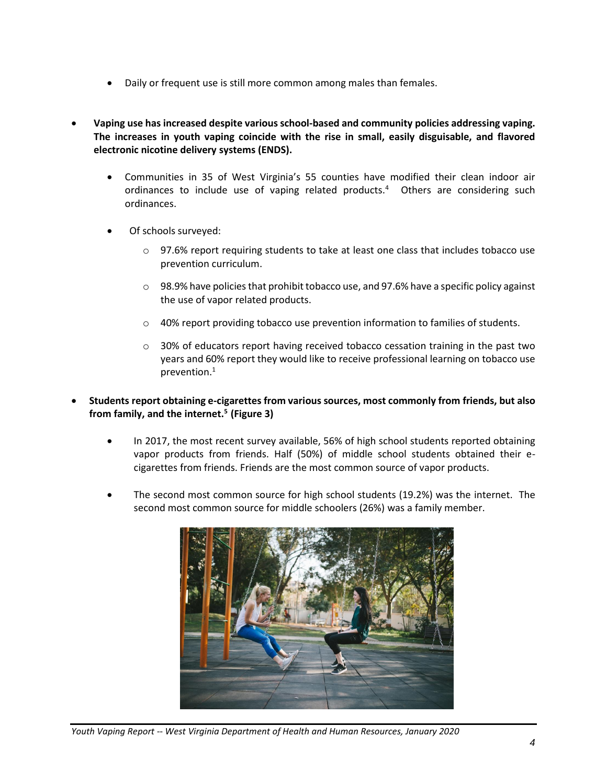- Daily or frequent use is still more common among males than females.
- **Vaping use has increased despite various school-based and community policies addressing vaping. The increases in youth vaping coincide with the rise in small, easily disguisable, and flavored electronic nicotine delivery systems (ENDS).**
	- Communities in 35 of West Virginia's 55 counties have modified their clean indoor air ordinances to include use of vaping related products.<sup>4</sup> Others are considering such ordinances.
	- Of schools surveyed:
		- o 97.6% report requiring students to take at least one class that includes tobacco use prevention curriculum.
		- $\circ$  98.9% have policies that prohibit tobacco use, and 97.6% have a specific policy against the use of vapor related products.
		- $\circ$  40% report providing tobacco use prevention information to families of students.
		- $\circ$  30% of educators report having received tobacco cessation training in the past two years and 60% report they would like to receive professional learning on tobacco use prevention.<sup>1</sup>
- **Students report obtaining e-cigarettes from various sources, most commonly from friends, but also from family, and the internet.<sup>5</sup> (Figure 3)**
	- In 2017, the most recent survey available, 56% of high school students reported obtaining vapor products from friends. Half (50%) of middle school students obtained their ecigarettes from friends. Friends are the most common source of vapor products.
	- The second most common source for high school students (19.2%) was the internet. The second most common source for middle schoolers (26%) was a family member.



*Youth Vaping Report -- West Virginia Department of Health and Human Resources, January 2020*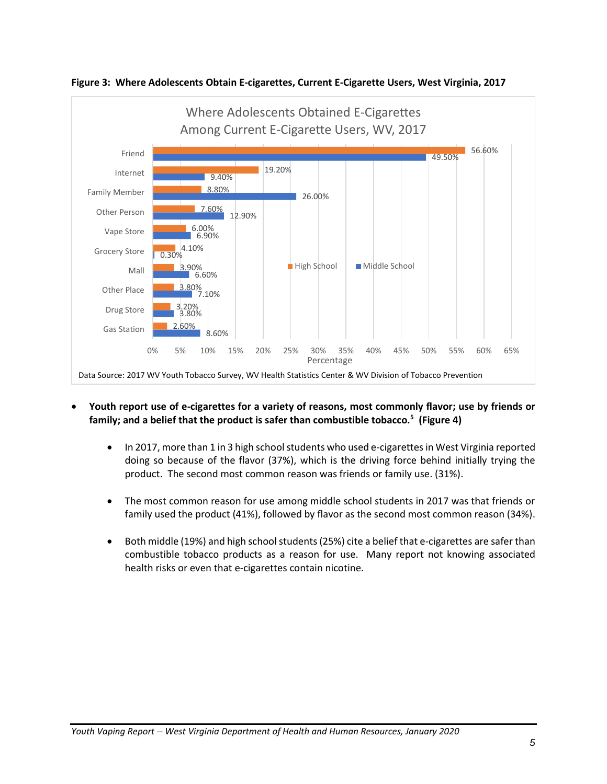



- **Youth report use of e-cigarettes for a variety of reasons, most commonly flavor; use by friends or family; and a belief that the product is safer than combustible tobacco.<sup>5</sup> (Figure 4)**
	- In 2017, more than 1 in 3 high school students who used e-cigarettes in West Virginia reported doing so because of the flavor (37%), which is the driving force behind initially trying the product. The second most common reason was friends or family use. (31%).
	- The most common reason for use among middle school students in 2017 was that friends or family used the product (41%), followed by flavor as the second most common reason (34%).
	- Both middle (19%) and high school students (25%) cite a belief that e-cigarettes are safer than combustible tobacco products as a reason for use. Many report not knowing associated health risks or even that e-cigarettes contain nicotine.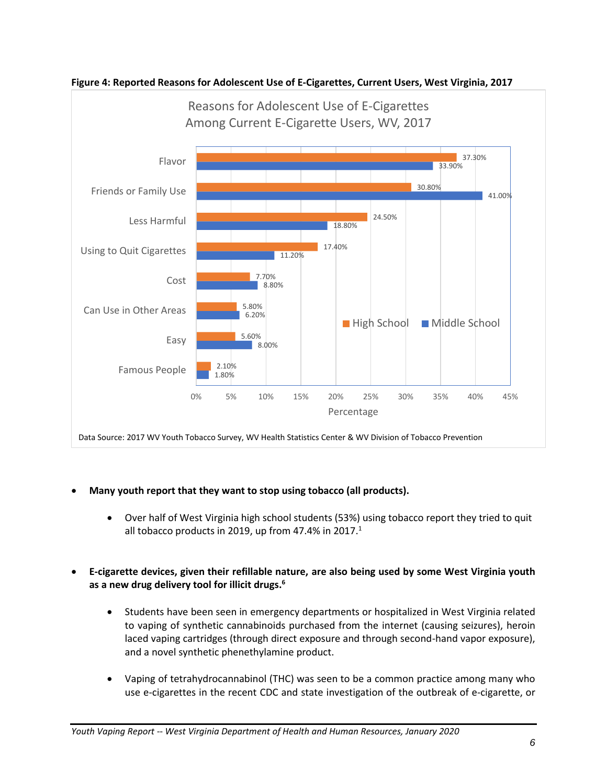

**Figure 4: Reported Reasons for Adolescent Use of E-Cigarettes, Current Users, West Virginia, 2017**

- **Many youth report that they want to stop using tobacco (all products).**
	- Over half of West Virginia high school students (53%) using tobacco report they tried to quit all tobacco products in 2019, up from 47.4% in 2017. $1$
- **E-cigarette devices, given their refillable nature, are also being used by some West Virginia youth as a new drug delivery tool for illicit drugs. 6**
	- Students have been seen in emergency departments or hospitalized in West Virginia related to vaping of synthetic cannabinoids purchased from the internet (causing seizures), heroin laced vaping cartridges (through direct exposure and through second-hand vapor exposure), and a novel synthetic phenethylamine product.
	- Vaping of tetrahydrocannabinol (THC) was seen to be a common practice among many who use e-cigarettes in the recent CDC and state investigation of the outbreak of e-cigarette, or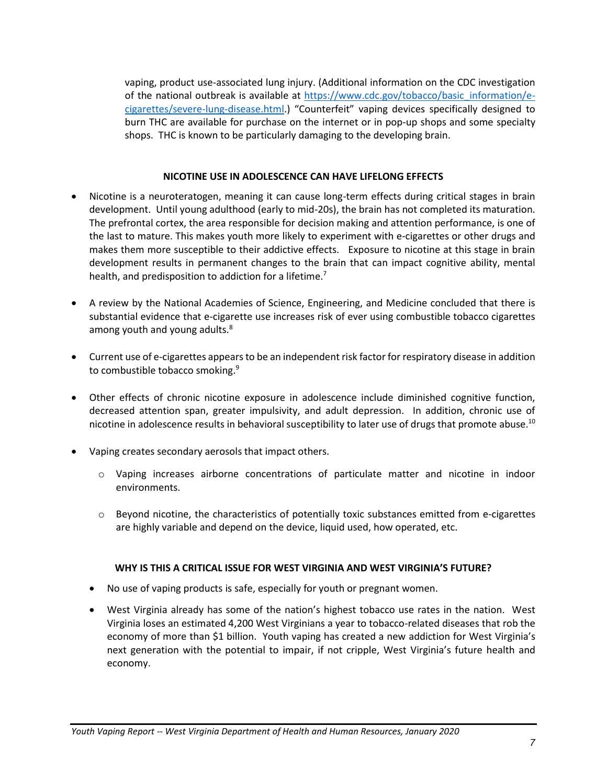vaping, product use-associated lung injury. (Additional information on the CDC investigation of the national outbreak is available at [https://www.cdc.gov/tobacco/basic\\_information/e](https://www.cdc.gov/tobacco/basic_information/e-cigarettes/severe-lung-disease.html#_blank)[cigarettes/severe-lung-disease.html.](https://www.cdc.gov/tobacco/basic_information/e-cigarettes/severe-lung-disease.html#_blank)) "Counterfeit" vaping devices specifically designed to burn THC are available for purchase on the internet or in pop-up shops and some specialty shops. THC is known to be particularly damaging to the developing brain.

#### **NICOTINE USE IN ADOLESCENCE CAN HAVE LIFELONG EFFECTS**

- Nicotine is a neuroteratogen, meaning it can cause long-term effects during critical stages in brain development. Until young adulthood (early to mid-20s), the brain has not completed its maturation. The prefrontal cortex, the area responsible for decision making and attention performance, is one of the last to mature. This makes youth more likely to experiment with e-cigarettes or other drugs and makes them more susceptible to their addictive effects. Exposure to nicotine at this stage in brain development results in permanent changes to the brain that can impact cognitive ability, mental health, and predisposition to addiction for a lifetime.<sup>7</sup>
- A review by the National Academies of Science, Engineering, and Medicine concluded that there is substantial evidence that e-cigarette use increases risk of ever using combustible tobacco cigarettes among youth and young adults.<sup>8</sup>
- Current use of e-cigarettes appears to be an independent risk factor for respiratory disease in addition to combustible tobacco smoking.<sup>9</sup>
- Other effects of chronic nicotine exposure in adolescence include diminished cognitive function, decreased attention span, greater impulsivity, and adult depression. In addition, chronic use of nicotine in adolescence results in behavioral susceptibility to later use of drugs that promote abuse.<sup>10</sup>
- Vaping creates secondary aerosols that impact others.
	- o Vaping increases airborne concentrations of particulate matter and nicotine in indoor environments.
	- $\circ$  Beyond nicotine, the characteristics of potentially toxic substances emitted from e-cigarettes are highly variable and depend on the device, liquid used, how operated, etc.

#### **WHY IS THIS A CRITICAL ISSUE FOR WEST VIRGINIA AND WEST VIRGINIA'S FUTURE?**

- No use of vaping products is safe, especially for youth or pregnant women.
- West Virginia already has some of the nation's highest tobacco use rates in the nation. West Virginia loses an estimated 4,200 West Virginians a year to tobacco-related diseases that rob the economy of more than \$1 billion. Youth vaping has created a new addiction for West Virginia's next generation with the potential to impair, if not cripple, West Virginia's future health and economy.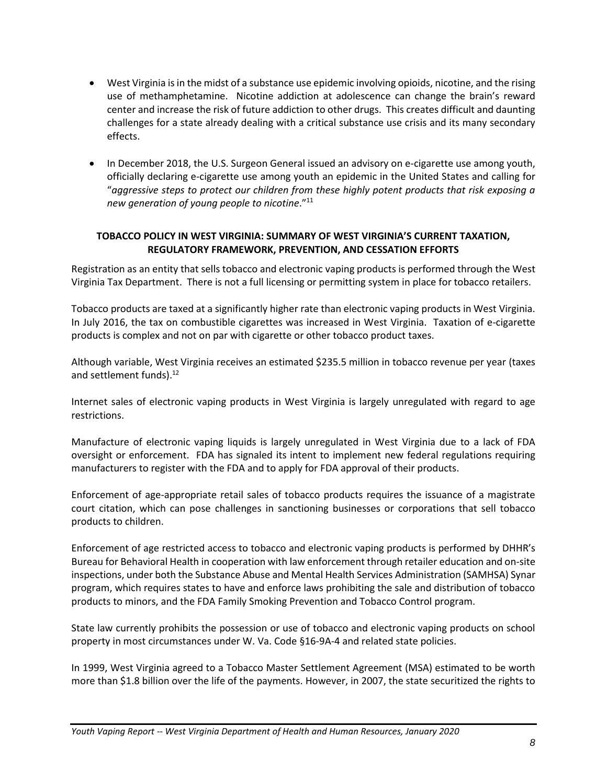- West Virginia is in the midst of a substance use epidemic involving opioids, nicotine, and the rising use of methamphetamine. Nicotine addiction at adolescence can change the brain's reward center and increase the risk of future addiction to other drugs. This creates difficult and daunting challenges for a state already dealing with a critical substance use crisis and its many secondary effects.
- In December 2018, the U.S. Surgeon General issued an advisory on e-cigarette use among youth, officially declaring e-cigarette use among youth an epidemic in the United States and calling for "*aggressive steps to protect our children from these highly potent products that risk exposing a new generation of young people to nicotine*."<sup>11</sup>

## **TOBACCO POLICY IN WEST VIRGINIA: SUMMARY OF WEST VIRGINIA'S CURRENT TAXATION, REGULATORY FRAMEWORK, PREVENTION, AND CESSATION EFFORTS**

Registration as an entity that sells tobacco and electronic vaping products is performed through the West Virginia Tax Department. There is not a full licensing or permitting system in place for tobacco retailers.

Tobacco products are taxed at a significantly higher rate than electronic vaping products in West Virginia. In July 2016, the tax on combustible cigarettes was increased in West Virginia. Taxation of e-cigarette products is complex and not on par with cigarette or other tobacco product taxes.

Although variable, West Virginia receives an estimated \$235.5 million in tobacco revenue per year (taxes and settlement funds).<sup>12</sup>

Internet sales of electronic vaping products in West Virginia is largely unregulated with regard to age restrictions.

Manufacture of electronic vaping liquids is largely unregulated in West Virginia due to a lack of FDA oversight or enforcement. FDA has signaled its intent to implement new federal regulations requiring manufacturers to register with the FDA and to apply for FDA approval of their products.

Enforcement of age-appropriate retail sales of tobacco products requires the issuance of a magistrate court citation, which can pose challenges in sanctioning businesses or corporations that sell tobacco products to children.

Enforcement of age restricted access to tobacco and electronic vaping products is performed by DHHR's Bureau for Behavioral Health in cooperation with law enforcement through retailer education and on-site inspections, under both the Substance Abuse and Mental Health Services Administration (SAMHSA) Synar program, which requires states to have and enforce laws prohibiting the sale and distribution of tobacco products to minors, and the FDA Family Smoking Prevention and Tobacco Control program.

State law currently prohibits the possession or use of tobacco and electronic vaping products on school property in most circumstances under W. Va. Code §16-9A-4 and related state policies.

In 1999, West Virginia agreed to a Tobacco Master Settlement Agreement (MSA) estimated to be worth more than \$1.8 billion over the life of the payments. However, in 2007, the state securitized the rights to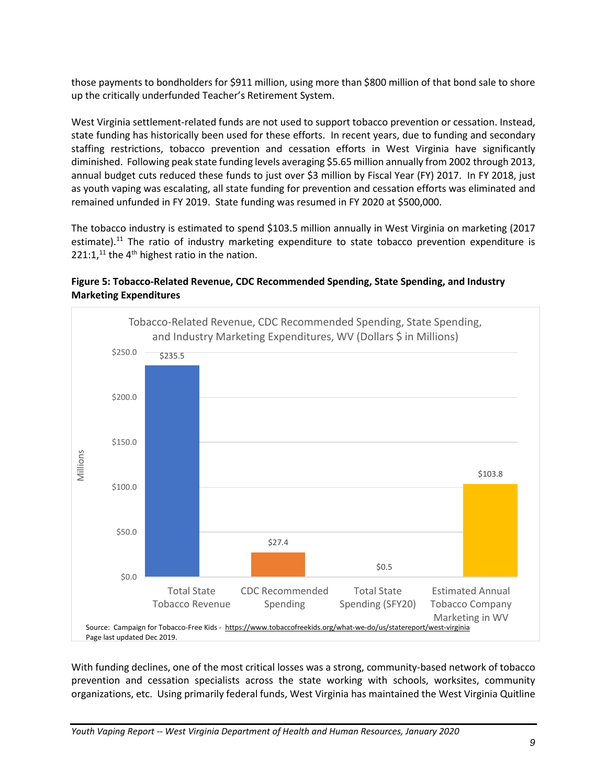those payments to bondholders for \$911 million, using more than \$800 million of that bond sale to shore up the critically underfunded Teacher's Retirement System.

West Virginia settlement-related funds are not used to support tobacco prevention or cessation. Instead, state funding has historically been used for these efforts. In recent years, due to funding and secondary staffing restrictions, tobacco prevention and cessation efforts in West Virginia have significantly diminished. Following peak state funding levels averaging \$5.65 million annually from 2002 through 2013, annual budget cuts reduced these funds to just over \$3 million by Fiscal Year (FY) 2017. In FY 2018, just as youth vaping was escalating, all state funding for prevention and cessation efforts was eliminated and remained unfunded in FY 2019. State funding was resumed in FY 2020 at \$500,000.

The tobacco industry is estimated to spend \$103.5 million annually in West Virginia on marketing (2017 estimate).<sup>11</sup> The ratio of industry marketing expenditure to state tobacco prevention expenditure is  $221:1$ ,<sup>11</sup> the 4<sup>th</sup> highest ratio in the nation.



**Figure 5: Tobacco-Related Revenue, CDC Recommended Spending, State Spending, and Industry Marketing Expenditures**

With funding declines, one of the most critical losses was a strong, community-based network of tobacco prevention and cessation specialists across the state working with schools, worksites, community organizations, etc. Using primarily federal funds, West Virginia has maintained the West Virginia Quitline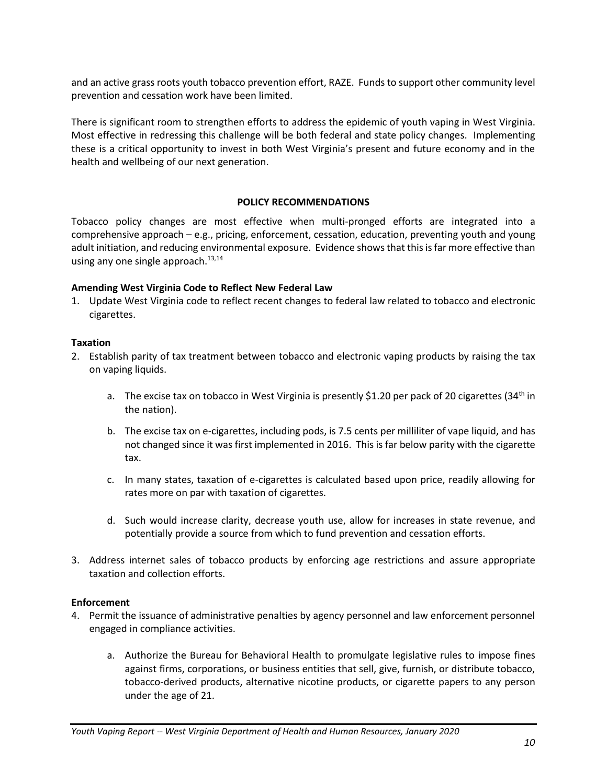and an active grass roots youth tobacco prevention effort, RAZE. Funds to support other community level prevention and cessation work have been limited.

There is significant room to strengthen efforts to address the epidemic of youth vaping in West Virginia. Most effective in redressing this challenge will be both federal and state policy changes. Implementing these is a critical opportunity to invest in both West Virginia's present and future economy and in the health and wellbeing of our next generation.

#### **POLICY RECOMMENDATIONS**

Tobacco policy changes are most effective when multi-pronged efforts are integrated into a comprehensive approach – e.g., pricing, enforcement, cessation, education, preventing youth and young adult initiation, and reducing environmental exposure. Evidence shows that this is far more effective than using any one single approach.<sup>13,14</sup>

#### **Amending West Virginia Code to Reflect New Federal Law**

1. Update West Virginia code to reflect recent changes to federal law related to tobacco and electronic cigarettes.

#### **Taxation**

- 2. Establish parity of tax treatment between tobacco and electronic vaping products by raising the tax on vaping liquids.
	- a. The excise tax on tobacco in West Virginia is presently \$1.20 per pack of 20 cigarettes (34<sup>th</sup> in the nation).
	- b. The excise tax on e-cigarettes, including pods, is 7.5 cents per milliliter of vape liquid, and has not changed since it was first implemented in 2016. This is far below parity with the cigarette tax.
	- c. In many states, taxation of e-cigarettes is calculated based upon price, readily allowing for rates more on par with taxation of cigarettes.
	- d. Such would increase clarity, decrease youth use, allow for increases in state revenue, and potentially provide a source from which to fund prevention and cessation efforts.
- 3. Address internet sales of tobacco products by enforcing age restrictions and assure appropriate taxation and collection efforts.

### **Enforcement**

- 4. Permit the issuance of administrative penalties by agency personnel and law enforcement personnel engaged in compliance activities.
	- a. Authorize the Bureau for Behavioral Health to promulgate legislative rules to impose fines against firms, corporations, or business entities that sell, give, furnish, or distribute tobacco, tobacco-derived products, alternative nicotine products, or cigarette papers to any person under the age of 21.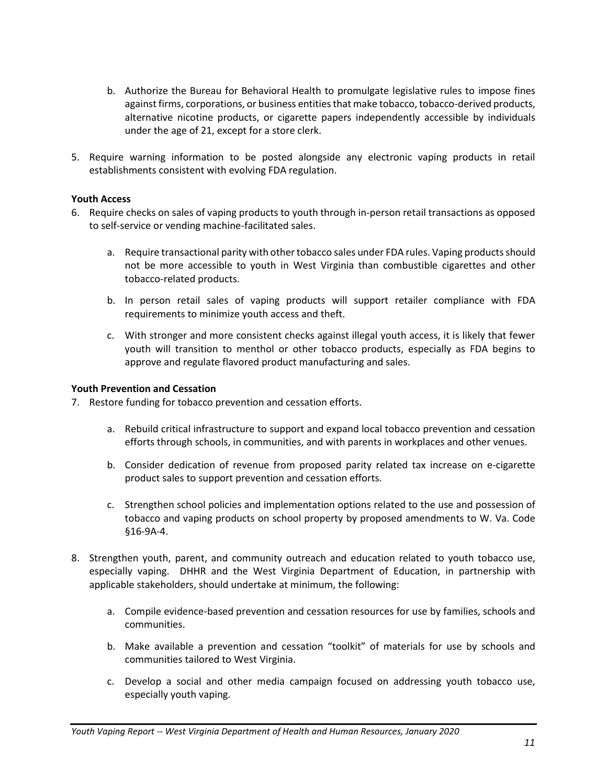- b. Authorize the Bureau for Behavioral Health to promulgate legislative rules to impose fines against firms, corporations, or business entities that make tobacco, tobacco-derived products, alternative nicotine products, or cigarette papers independently accessible by individuals under the age of 21, except for a store clerk.
- 5. Require warning information to be posted alongside any electronic vaping products in retail establishments consistent with evolving FDA regulation.

## **Youth Access**

- 6. Require checks on sales of vaping products to youth through in-person retail transactions as opposed to self-service or vending machine-facilitated sales.
	- a. Require transactional parity with other tobacco sales under FDA rules. Vaping products should not be more accessible to youth in West Virginia than combustible cigarettes and other tobacco-related products.
	- b. In person retail sales of vaping products will support retailer compliance with FDA requirements to minimize youth access and theft.
	- c. With stronger and more consistent checks against illegal youth access, it is likely that fewer youth will transition to menthol or other tobacco products, especially as FDA begins to approve and regulate flavored product manufacturing and sales.

## **Youth Prevention and Cessation**

7. Restore funding for tobacco prevention and cessation efforts.

- a. Rebuild critical infrastructure to support and expand local tobacco prevention and cessation efforts through schools, in communities, and with parents in workplaces and other venues.
- b. Consider dedication of revenue from proposed parity related tax increase on e-cigarette product sales to support prevention and cessation efforts.
- c. Strengthen school policies and implementation options related to the use and possession of tobacco and vaping products on school property by proposed amendments to W. Va. Code §16-9A-4.
- 8. Strengthen youth, parent, and community outreach and education related to youth tobacco use, especially vaping. DHHR and the West Virginia Department of Education, in partnership with applicable stakeholders, should undertake at minimum, the following:
	- a. Compile evidence-based prevention and cessation resources for use by families, schools and communities.
	- b. Make available a prevention and cessation "toolkit" of materials for use by schools and communities tailored to West Virginia.
	- c. Develop a social and other media campaign focused on addressing youth tobacco use, especially youth vaping.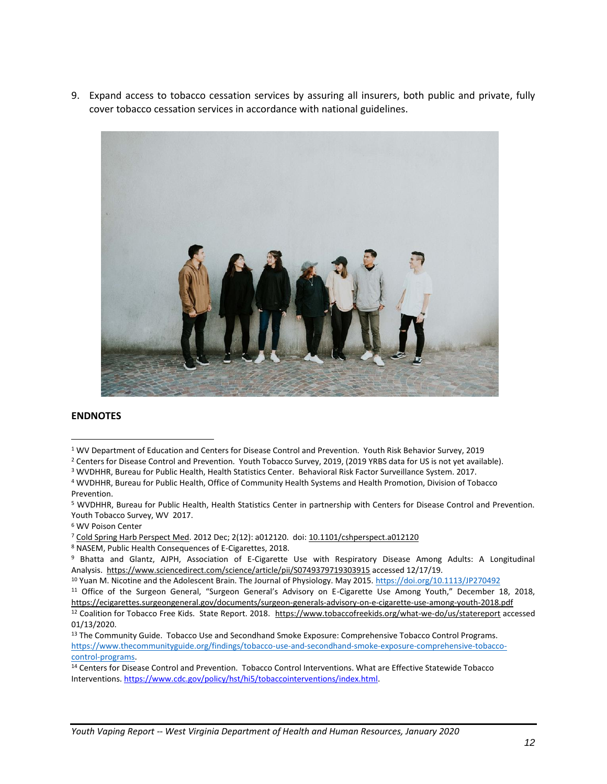9. Expand access to tobacco cessation services by assuring all insurers, both public and private, fully cover tobacco cessation services in accordance with national guidelines.



#### **ENDNOTES**

- <sup>2</sup> Centers for Disease Control and Prevention. Youth Tobacco Survey, 2019, (2019 YRBS data for US is not yet available).
- <sup>3</sup> WVDHHR, Bureau for Public Health, Health Statistics Center. Behavioral Risk Factor Surveillance System. 2017.
- <sup>4</sup> WVDHHR, Bureau for Public Health, Office of Community Health Systems and Health Promotion, Division of Tobacco Prevention.

<sup>5</sup> WVDHHR, Bureau for Public Health, Health Statistics Center in partnership with Centers for Disease Control and Prevention. Youth Tobacco Survey, WV 2017.

<sup>6</sup> WV Poison Center

<sup>7</sup> [Cold Spring Harb Perspect Med.](https://www.ncbi.nlm.nih.gov/pmc/articles/PMC3543069/) 2012 Dec; 2(12): a012120. doi: [10.1101/cshperspect.a012120](https://dx.doi.org/10.1101%2Fcshperspect.a012120)

<sup>8</sup> NASEM, Public Health Consequences of E-Cigarettes, 2018.

<sup>9</sup> Bhatta and Glantz, AJPH, Association of E-Cigarette Use with Respiratory Disease Among Adults: A Longitudinal Analysis. <https://www.sciencedirect.com/science/article/pii/S0749379719303915> accessed 12/17/19.

<sup>10</sup> Yuan M. Nicotine and the Adolescent Brain. The Journal of Physiology. May 2015.<https://doi.org/10.1113/JP270492>

<sup>11</sup> Office of the Surgeon General, "Surgeon General's Advisory on E-Cigarette Use Among Youth," December 18, 2018, <https://ecigarettes.surgeongeneral.gov/documents/surgeon-generals-advisory-on-e-cigarette-use-among-youth-2018.pdf> 12 Coalition for Tobacco Free Kids. State Report. 2018. https://www.tobaccofreekids.org/what-we-do/us/statereport accessed 01/13/2020.

<sup>13</sup> The Community Guide. Tobacco Use and Secondhand Smoke Exposure: Comprehensive Tobacco Control Programs. [https://www.thecommunityguide.org/findings/tobacco-use-and-secondhand-smoke-exposure-comprehensive-tobacco](https://www.thecommunityguide.org/findings/tobacco-use-and-secondhand-smoke-exposure-comprehensive-tobacco-control-programs)[control-programs.](https://www.thecommunityguide.org/findings/tobacco-use-and-secondhand-smoke-exposure-comprehensive-tobacco-control-programs)

<sup>14</sup> Centers for Disease Control and Prevention. Tobacco Control Interventions. What are Effective Statewide Tobacco Interventions[. https://www.cdc.gov/policy/hst/hi5/tobaccointerventions/index.html.](https://www.cdc.gov/policy/hst/hi5/tobaccointerventions/index.html) 

<sup>1</sup> WV Department of Education and Centers for Disease Control and Prevention. Youth Risk Behavior Survey, 2019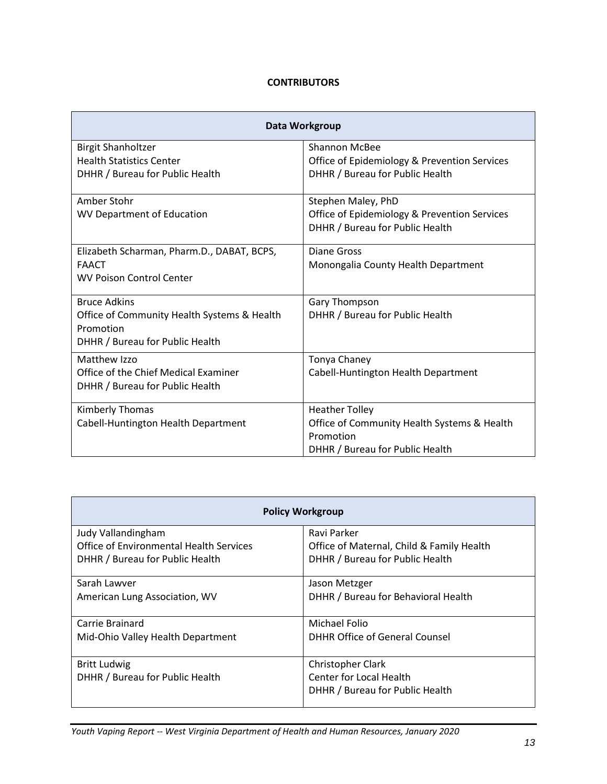## **CONTRIBUTORS**

| Data Workgroup                              |                                              |
|---------------------------------------------|----------------------------------------------|
| <b>Birgit Shanholtzer</b>                   | <b>Shannon McBee</b>                         |
| <b>Health Statistics Center</b>             | Office of Epidemiology & Prevention Services |
| DHHR / Bureau for Public Health             | DHHR / Bureau for Public Health              |
| Amber Stohr                                 | Stephen Maley, PhD                           |
| <b>WV Department of Education</b>           | Office of Epidemiology & Prevention Services |
|                                             | DHHR / Bureau for Public Health              |
| Elizabeth Scharman, Pharm.D., DABAT, BCPS,  | Diane Gross                                  |
| <b>FAACT</b>                                | Monongalia County Health Department          |
| <b>WV Poison Control Center</b>             |                                              |
| <b>Bruce Adkins</b>                         | Gary Thompson                                |
| Office of Community Health Systems & Health | DHHR / Bureau for Public Health              |
| Promotion                                   |                                              |
| DHHR / Bureau for Public Health             |                                              |
| Matthew Izzo                                | Tonya Chaney                                 |
| Office of the Chief Medical Examiner        | Cabell-Huntington Health Department          |
| DHHR / Bureau for Public Health             |                                              |
| Kimberly Thomas                             | <b>Heather Tolley</b>                        |
| Cabell-Huntington Health Department         | Office of Community Health Systems & Health  |
|                                             | Promotion                                    |
|                                             | DHHR / Bureau for Public Health              |

| <b>Policy Workgroup</b>                                       |                                                          |  |
|---------------------------------------------------------------|----------------------------------------------------------|--|
| Judy Vallandingham<br>Office of Environmental Health Services | Ravi Parker<br>Office of Maternal, Child & Family Health |  |
| DHHR / Bureau for Public Health                               | DHHR / Bureau for Public Health                          |  |
| Sarah Lawver                                                  | Jason Metzger                                            |  |
| American Lung Association, WV                                 | DHHR / Bureau for Behavioral Health                      |  |
| Carrie Brainard                                               | Michael Folio                                            |  |
| Mid-Ohio Valley Health Department                             | DHHR Office of General Counsel                           |  |
| <b>Britt Ludwig</b>                                           | Christopher Clark                                        |  |
| DHHR / Bureau for Public Health                               | Center for Local Health                                  |  |
|                                                               | DHHR / Bureau for Public Health                          |  |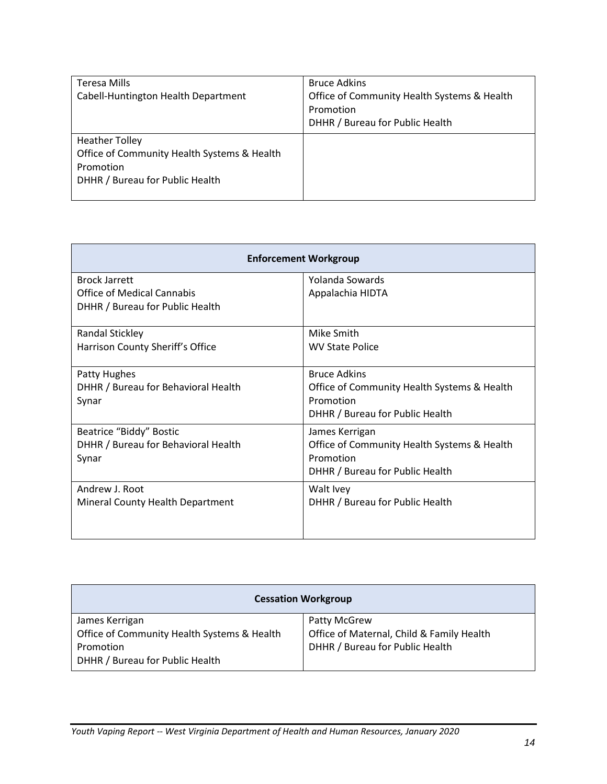| Teresa Mills<br>Cabell-Huntington Health Department                                                                  | <b>Bruce Adkins</b><br>Office of Community Health Systems & Health<br>Promotion<br>DHHR / Bureau for Public Health |
|----------------------------------------------------------------------------------------------------------------------|--------------------------------------------------------------------------------------------------------------------|
| <b>Heather Tolley</b><br>Office of Community Health Systems & Health<br>Promotion<br>DHHR / Bureau for Public Health |                                                                                                                    |

| <b>Enforcement Workgroup</b>        |                                             |
|-------------------------------------|---------------------------------------------|
| <b>Brock Jarrett</b>                | Yolanda Sowards                             |
| <b>Office of Medical Cannabis</b>   | Appalachia HIDTA                            |
| DHHR / Bureau for Public Health     |                                             |
| <b>Randal Stickley</b>              | Mike Smith                                  |
| Harrison County Sheriff's Office    | <b>WV State Police</b>                      |
| Patty Hughes                        | <b>Bruce Adkins</b>                         |
| DHHR / Bureau for Behavioral Health | Office of Community Health Systems & Health |
| Synar                               | Promotion                                   |
|                                     | DHHR / Bureau for Public Health             |
| Beatrice "Biddy" Bostic             | James Kerrigan                              |
| DHHR / Bureau for Behavioral Health | Office of Community Health Systems & Health |
| Synar                               | Promotion                                   |
|                                     | DHHR / Bureau for Public Health             |
| Andrew J. Root                      | Walt Ivey                                   |
| Mineral County Health Department    | DHHR / Bureau for Public Health             |
|                                     |                                             |
|                                     |                                             |

| <b>Cessation Workgroup</b>                  |                                           |  |
|---------------------------------------------|-------------------------------------------|--|
| James Kerrigan                              | Patty McGrew                              |  |
| Office of Community Health Systems & Health | Office of Maternal, Child & Family Health |  |
| Promotion                                   | DHHR / Bureau for Public Health           |  |
| DHHR / Bureau for Public Health             |                                           |  |